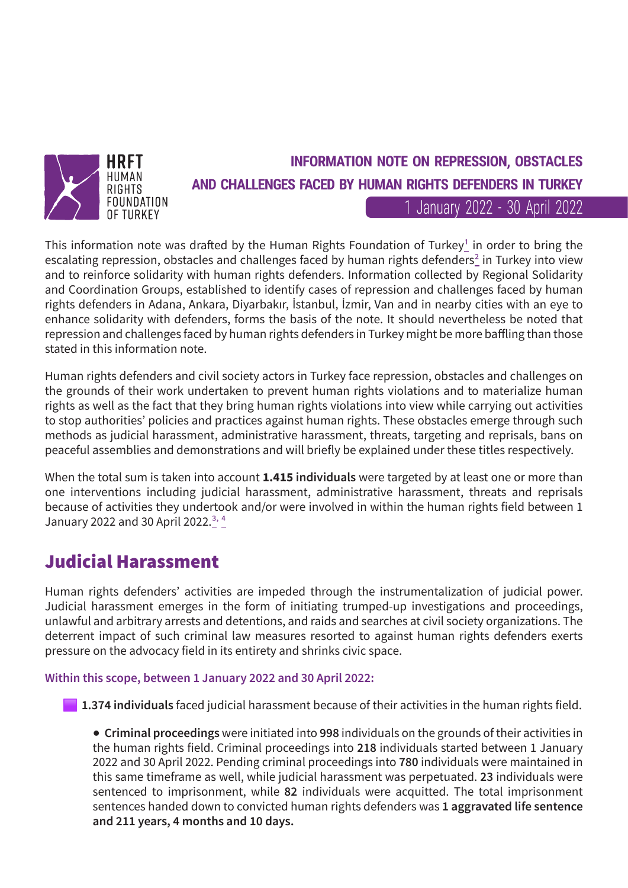

# **INFORMATION NOTE ON REPRESSION, OBSTACLES AND CHALLENGES FACED BY HUMAN RIGHTS DEFENDERS IN TURKEY**

1 January 2022 - 30 April 2022

This information note was drafted by the Human Rights Foundation of Turkey<sup>1</sup> in order to bring the escalating repression, obstacles and challenges faced by human rights defenders<sup>2</sup> in Turkey into view and to reinforce solidarity with human rights defenders. Information collected by Regional Solidarity and Coordination Groups, established to identify cases of repression and challenges faced by human rights defenders in Adana, Ankara, Diyarbakır, İstanbul, İzmir, Van and in nearby cities with an eye to enhance solidarity with defenders, forms the basis of the note. It should nevertheless be noted that repression and challenges faced by human rights defenders in Turkey might be more baffling than those stated in this information note.

Human rights defenders and civil society actors in Turkey face repression, obstacles and challenges on the grounds of their work undertaken to prevent human rights violations and to materialize human rights as well as the fact that they bring human rights violations into view while carrying out activities to stop authorities' policies and practices against human rights. These obstacles emerge through such methods as judicial harassment, administrative harassment, threats, targeting and reprisals, bans on peaceful assemblies and demonstrations and will briefly be explained under these titles respectively.

When the total sum is taken into account **1.415 individuals** were targeted by at least one or more than one interventions including judicial harassment, administrative harassment, threats and reprisals because of activities they undertook and/or were involved in within the human rights field between 1 January 2022 and 30 April 2022.<sup>3, 4</sup>

### **Judicial Harassment**

Human rights defenders' activities are impeded through the instrumentalization of judicial power. Judicial harassment emerges in the form of initiating trumped-up investigations and proceedings, unlawful and arbitrary arrests and detentions, and raids and searches at civil society organizations. The deterrent impact of such criminal law measures resorted to against human rights defenders exerts pressure on the advocacy field in its entirety and shrinks civic space.

**Within this scope, between 1 January 2022 and 30 April 2022:**

**1.374 individuals** faced judicial harassment because of their activities in the human rights field.

**● Criminal proceedings** were initiated into **998** individuals on the grounds of their activities in the human rights field. Criminal proceedings into **218** individuals started between 1 January 2022 and 30 April 2022. Pending criminal proceedings into **780** individuals were maintained in this same timeframe as well, while judicial harassment was perpetuated. **23** individuals were sentenced to imprisonment, while **82** individuals were acquitted. The total imprisonment sentences handed down to convicted human rights defenders was **1 aggravated life sentence and 211 years, 4 months and 10 days.**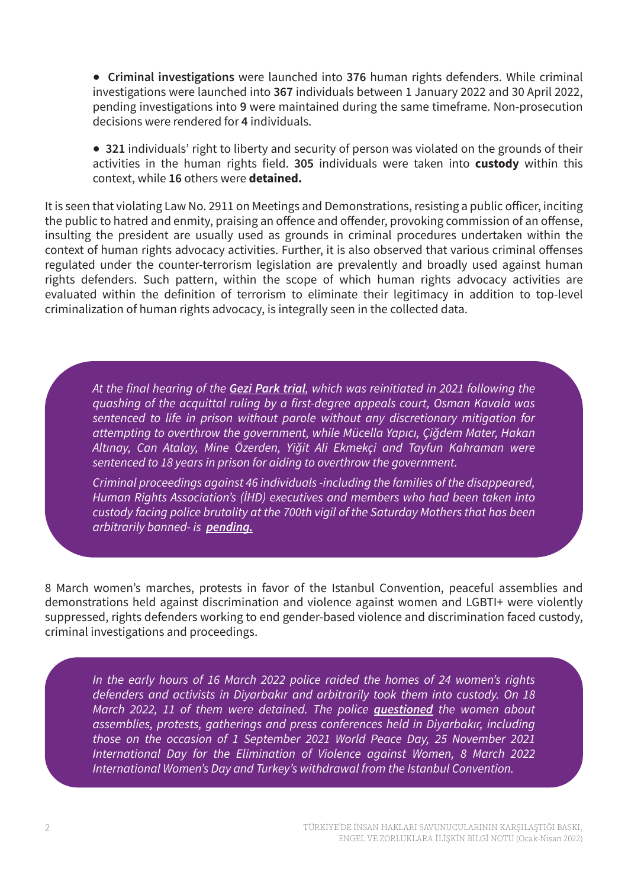**● Criminal investigations** were launched into **376** human rights defenders. While criminal investigations were launched into **367** individuals between 1 January 2022 and 30 April 2022, pending investigations into **9** were maintained during the same timeframe. Non-prosecution decisions were rendered for **4** individuals.

**● 321** individuals' right to liberty and security of person was violated on the grounds of their activities in the human rights field. **305** individuals were taken into **custody** within this context, while **16** others were **detained.**

It is seen that violating Law No. 2911 on Meetings and Demonstrations, resisting a public officer, inciting the public to hatred and enmity, praising an offence and offender, provoking commission of an offense, insulting the president are usually used as grounds in criminal procedures undertaken within the context of human rights advocacy activities. Further, it is also observed that various criminal offenses regulated under the counter-terrorism legislation are prevalently and broadly used against human rights defenders. Such pattern, within the scope of which human rights advocacy activities are evaluated within the definition of terrorism to eliminate their legitimacy in addition to top-level criminalization of human rights advocacy, is integrally seen in the collected data.

*At the final hearing of the [Gezi Park trial](https://en.tihv.org.tr/press-releases/joint-statement-by-ihd-tihv-on-the-gezi-park-trial-verdict/), which was reinitiated in 2021 following the quashing of the acquittal ruling by a first-degree appeals court, Osman Kavala was sentenced to life in prison without parole without any discretionary mitigation for attempting to overthrow the government, while Mücella Yapıcı, Çiğdem Mater, Hakan Altınay, Can Atalay, Mine Özerden, Yiğit Ali Ekmekçi and Tayfun Kahraman were sentenced to 18 years in prison for aiding to overthrow the government.*

*Criminal proceedings against 46 individuals -including the families of the disappeared, Human Rights Association's (İHD) executives and members who had been taken into custody facing police brutality [a](https://tihv.org.tr/basin-aciklamalari/insan-haklari-savunucularina-yonelik-yargisal-tacize-son-verin/)t the 700th vigil of the Saturday Mothers that has been arbitrarily banned- is [pending.](https://ihd.org.tr/en/ihd-hrft-joint-statement-stop-judicial-harassment-against-human-rights-defenders/)*

8 March women's marches, protests in favor of the Istanbul Convention, peaceful assemblies and demonstrations held against discrimination and violence against women and LGBTI+ were violently suppressed, rights defenders working to end gender-based violence and discrimination faced custody, criminal investigations and proceedings.

*In the early hours of 16 March 2022 police raided the homes of 24 women's rights defenders and activists in Diyarbakır and arbitrarily took them into custody. On 18 March 2022, 11 of them were detained. The police [questioned](https://www.omct.org/en/resources/statements/turkey-arbitrary-arrest-of-womens-rights-defenders-in-diyarbak%C4%B1r) the women about assemblies, protests, gatherings and press conferences held in Diyarbakır, including those on the occasion of 1 September 2021 World Peace Day, 25 November 2021 International Day for the Elimination of Violence against Women, 8 March 2022 International Women's Day and Turkey's withdrawal from the Istanbul Convention.*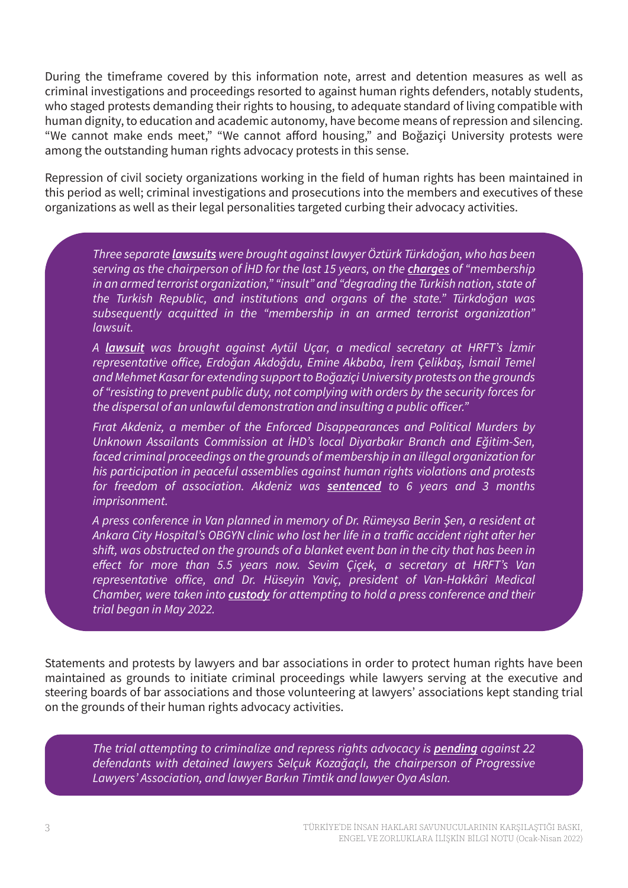During the timeframe covered by this information note, arrest and detention measures as well as criminal investigations and proceedings resorted to against human rights defenders, notably students, who staged protests demanding their rights to housing, to adequate standard of living compatible with human dignity, to education and academic autonomy, have become means of repression and silencing. "We cannot make ends meet," "We cannot afford housing," and Boğaziçi University protests were among the outstanding human rights advocacy protests in this sense.

Repression of civil society organizations working in the field of human rights has been maintained in this period as well; criminal investigations and prosecutions into the members and executives of these organizations as well as their legal personalities targeted curbing their advocacy activities.

*Three separate [lawsuits](https://tihv.org.tr/basin-aciklamalari/insan-haklari-savunuculugu-yargilanamaz/) were brought against lawyer Öztürk Türkdoğan, who has been serving as the chairperson of İHD for the last 15 years, on the [charges](https://ihd.org.tr/en/wp-content/uploads/2022/01/Info-Note_O-Turkdogan_Jan-2022.pdf) of "membership in an armed terrorist organization," "insult" and "degrading the Turkish nation, state of the Turkish Republic, and institutions and organs of the state." Türkdoğan was subsequently acquitted in the "membership in an armed terrorist organization" lawsuit.*

*A [lawsuit](https://tihv.org.tr/basin-aciklamalari/hak-savunuculari-uzerindeki-baski-ve-yargisal-tacizlere-son-verilsin/) was brought against Aytül Uçar, a medical secretary at HRFT's İzmir representative office, Erdoğan Akdoğdu, Emine Akbaba, İrem Çelikbaş, İsmail Temel and Mehmet Kasar for extending support to Boğaziçi University protests on the grounds of "resisting to prevent public duty, not complying with orders by the security forces for the dispersal of an unlawful demonstration and insulting a public officer."*

*Fırat Akdeniz, a member of the Enforced Disappearances and Political Murders by Unknown Assailants Commission at İHD's local Diyarbakır Branch and Eğitim-Sen, faced criminal proceedings on the grounds of membership in an illegal organization for his participation in peaceful assemblies against human rights violations and protests for freedom of association. Akdeniz was [sentenced](https://ihd.org.tr/en/ihd-hrft-joint-statement-stop-judicial-harassment-against-human-rights-defenders/) to 6 years and 3 months imprisonment.*

*A press conference in Van planned in memory of Dr. Rümeysa Berin Şen, a resident at Ankara City Hospital's OBGYN clinic who lost her life in a traffic accident right after her shift, was obstructed on the grounds of a blanket event ban in the city that has been in effect for more than 5.5 years now. Sevim Çiçek, a secretary at HRFT's Van representative office, and Dr. Hüseyin Yaviç, president of Van-Hakkâri Medical Chamber, were taken into [custody](https://tihv.org.tr/basin-aciklamalari/vanda-gozaltina-alinan-saglik-emekcileri-derhal-serbest-birakilsin/) for attempting to hold a press conference and their trial began in May 2022.*

Statements and protests by lawyers and bar associations in order to protect human rights have been maintained as grounds to initiate criminal proceedings while lawyers serving at the executive and steering boards of bar associations and those volunteering at lawyers' associations kept standing trial on the grounds of their human rights advocacy activities.

*The trial attempting to criminalize and repress rights advocacy is [pending](https://ihd.org.tr/en/ihd-hrft-joint-statement-stop-judicial-harassment-against-human-rights-defenders/) against 22 defendants with detained lawyers Selçuk Kozağaçlı, the chairperson of Progressive Lawyers' Association, and lawyer Barkın Timtik and lawyer Oya Aslan.*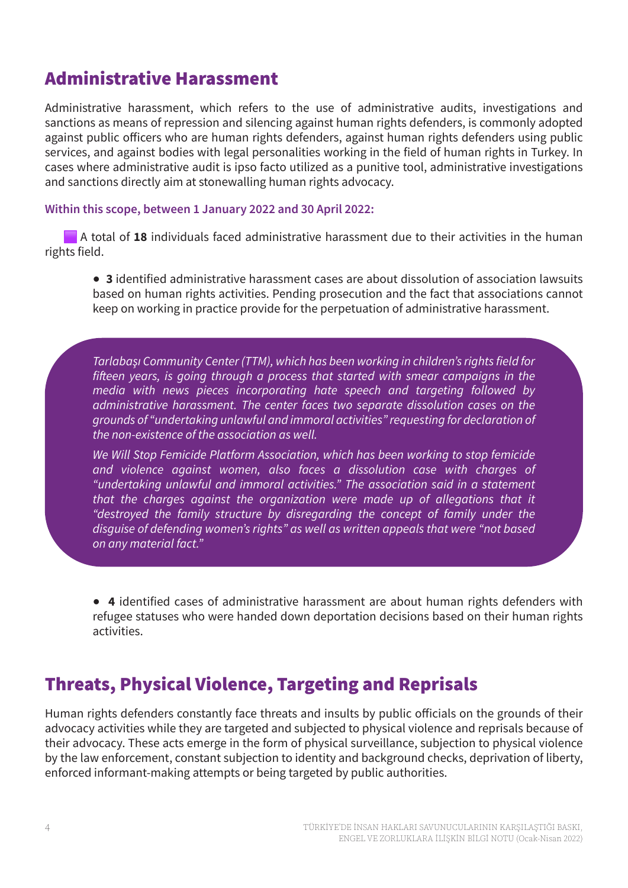### **Administrative Harassment**

Administrative harassment, which refers to the use of administrative audits, investigations and sanctions as means of repression and silencing against human rights defenders, is commonly adopted against public officers who are human rights defenders, against human rights defenders using public services, and against bodies with legal personalities working in the field of human rights in Turkey. In cases where administrative audit is ipso facto utilized as a punitive tool, administrative investigations and sanctions directly aim at stonewalling human rights advocacy.

#### **Within this scope, between 1 January 2022 and 30 April 2022:**

A total of **18** individuals faced administrative harassment due to their activities in the human rights field.

**● 3** identified administrative harassment cases are about dissolution of association lawsuits based on human rights activities. Pending prosecution and the fact that associations cannot keep on working in practice provide for the perpetuation of administrative harassment.

*Tarlabaşı Community Center (TTM), which has been working in children's rights field for fifteen years, is going through a process that started with smear campaigns in the media with news pieces incorporating hate speech and targeting followed by administrative harassment. The center faces two separate dissolution cases on the grounds of "undertaking unlawful and immoral activities" requesting for declaration of the non-existence of the association as well.*

*We Will Stop Femicide Platform Association, which has been working to stop femicide and violence against women, also faces a dissolution case with charges of "undertaking unlawful and immoral activities." The association said in a statement that the charges against the organization were made up of allegations that it "destroyed the family structure by disregarding the concept of family under the disguise of defending women's rights" as well as written appeals that were "not based on any material fact."*

**● 4** identified cases of administrative harassment are about human rights defenders with refugee statuses who were handed down deportation decisions based on their human rights activities.

### **Threats, Physical Violence, Targeting and Reprisals**

Human rights defenders constantly face threats and insults by public officials on the grounds of their advocacy activities while they are targeted and subjected to physical violence and reprisals because of their advocacy. These acts emerge in the form of physical surveillance, subjection to physical violence by the law enforcement, constant subjection to identity and background checks, deprivation of liberty, enforced informant-making attempts or being targeted by public authorities.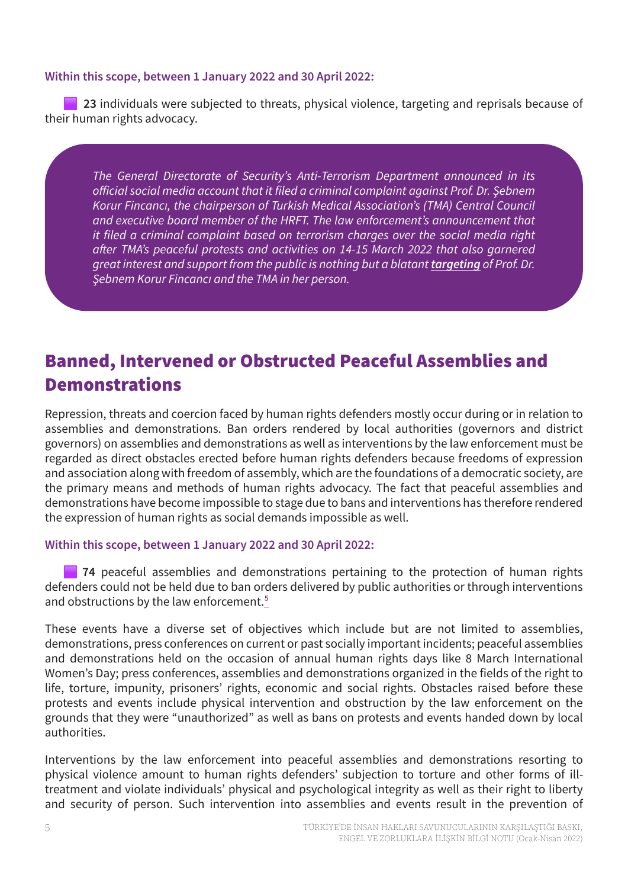### **Within this scope, between 1 January 2022 and 30 April 2022:**

**23** individuals were subjected to threats, physical violence, targeting and reprisals because of their human rights advocacy.

*The General Directorate of Security's Anti-Terrorism Department announced in its official social media account that it filed a criminal complaint against Prof. Dr. Şebnem Korur Fincancı, the chairperson of Turkish Medical Association's (TMA) Central Council and executive board member of the HRFT. The law enforcement's announcement that it filed a criminal complaint based on terrorism charges over the social media right after TMA's peaceful protests and activities on 14-15 March 2022 that also garnered great interest and support from the public is nothing but a blatant [targeting](https://ihd.org.tr/en/hrft-ihd-joint-statement-tma-and-sebnem-korur-fincanci-are-not-alone/) of Prof. Dr. Şebnem Korur Fincancı and the TMA in her person.*

## **Banned, Intervened or Obstructed Peaceful Assemblies and Demonstrations**

Repression, threats and coercion faced by human rights defenders mostly occur during or in relation to assemblies and demonstrations. Ban orders rendered by local authorities (governors and district governors) on assemblies and demonstrations as well as interventions by the law enforcement must be regarded as direct obstacles erected before human rights defenders because freedoms of expression and association along with freedom of assembly, which are the foundations of a democratic society, are the primary means and methods of human rights advocacy. The fact that peaceful assemblies and demonstrations have become impossible to stage due to bans and interventions has therefore rendered the expression of human rights as social demands impossible as well.

#### **Within this scope, between 1 January 2022 and 30 April 2022:**

**74** peaceful assemblies and demonstrations pertaining to the protection of human rights defenders could not be held due to ban orders delivered by public authorities or through interventions and obstructions by the law enforcement.<sup>5</sup>

These events have a diverse set of objectives which include but are not limited to assemblies, demonstrations, press conferences on current or past socially important incidents; peaceful assemblies and demonstrations held on the occasion of annual human rights days like 8 March International Women's Day; press conferences, assemblies and demonstrations organized in the fields of the right to life, torture, impunity, prisoners' rights, economic and social rights. Obstacles raised before these protests and events include physical intervention and obstruction by the law enforcement on the grounds that they were "unauthorized" as well as bans on protests and events handed down by local authorities.

Interventions by the law enforcement into peaceful assemblies and demonstrations resorting to physical violence amount to human rights defenders' subjection to torture and other forms of illtreatment and violate individuals' physical and psychological integrity as well as their right to liberty and security of person. Such intervention into assemblies and events result in the prevention of